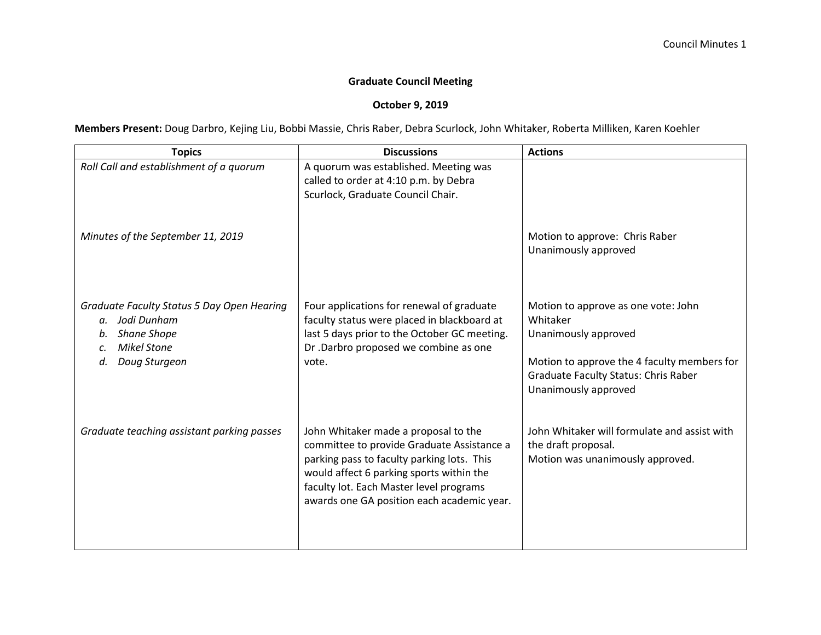## **Graduate Council Meeting**

## **October 9, 2019**

**Members Present:** Doug Darbro, Kejing Liu, Bobbi Massie, Chris Raber, Debra Scurlock, John Whitaker, Roberta Milliken, Karen Koehler

| <b>Topics</b>                                                                                                                                      | <b>Discussions</b>                                                                                                                                                                                                                                                    | <b>Actions</b>                                                                                                                                                                                |
|----------------------------------------------------------------------------------------------------------------------------------------------------|-----------------------------------------------------------------------------------------------------------------------------------------------------------------------------------------------------------------------------------------------------------------------|-----------------------------------------------------------------------------------------------------------------------------------------------------------------------------------------------|
| Roll Call and establishment of a quorum                                                                                                            | A quorum was established. Meeting was<br>called to order at 4:10 p.m. by Debra<br>Scurlock, Graduate Council Chair.                                                                                                                                                   |                                                                                                                                                                                               |
| Minutes of the September 11, 2019                                                                                                                  |                                                                                                                                                                                                                                                                       | Motion to approve: Chris Raber<br>Unanimously approved                                                                                                                                        |
| Graduate Faculty Status 5 Day Open Hearing<br>a. Jodi Dunham<br><b>Shane Shope</b><br><b>Mikel Stone</b><br>$\mathcal{C}$ .<br>Doug Sturgeon<br>d. | Four applications for renewal of graduate<br>faculty status were placed in blackboard at<br>last 5 days prior to the October GC meeting.<br>Dr .Darbro proposed we combine as one<br>vote.                                                                            | Motion to approve as one vote: John<br>Whitaker<br>Unanimously approved<br>Motion to approve the 4 faculty members for<br><b>Graduate Faculty Status: Chris Raber</b><br>Unanimously approved |
| Graduate teaching assistant parking passes                                                                                                         | John Whitaker made a proposal to the<br>committee to provide Graduate Assistance a<br>parking pass to faculty parking lots. This<br>would affect 6 parking sports within the<br>faculty lot. Each Master level programs<br>awards one GA position each academic year. | John Whitaker will formulate and assist with<br>the draft proposal.<br>Motion was unanimously approved.                                                                                       |